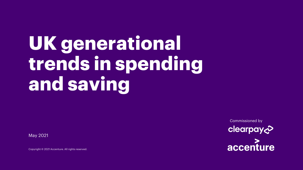# **UK generational trends in spending and saving**

May 2021

Copyright © 2021 Accenture. All rights reserved.

clearpay c accenture

Commissioned by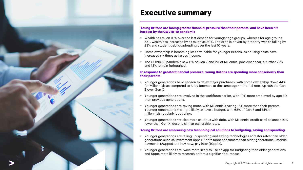

### **Executive summary**

#### **Young Britons are facing greater financial pressure than their parents, and have been hit hardest by the COVID-19 pandemic**

- Wealth has fallen 10% over the last decade for younger age groups, whereas for age groups 55+, wealth has increased by as much as 30%. The drop is driven by property wealth falling by 23% and student debt quadrupling over the last 10 years.
- **EXTERS 19 Home ownership is becoming less attainable for younger Britons, as housing costs have** increased six times as fast as income.
- The COVID-19 pandemic saw 11% of Gen Z and 2% of Millennial jobs disappear; a further 22% and 13% remain furloughed.

#### **In response to greater financial pressure, young Britons are spending more consciously than their parents**

- Younger generations have chosen to delay major purchases, with home ownership down 44% for Millennials as compared to Baby Boomers at the same age and rental rates up 46% for Gen Z over Gen X
- Younger generations are involved in the workforce earlier, with 10% more employed by age 30 than previous generations.
- Younger generations are saving more, with Millennials saving 15% more than their parents. Younger generations are more likely to have a budget, with 68% of Gen Z and 61% of millennials regularly budgeting.
- Younger generations are also more cautious with debt, with Millennial credit card balances 10% lower than Gen X, despite similar ownership rates.

#### **Young Britons are embracing new technological solutions to budgeting, saving and spending**

- Younger generations are taking up spending and saving technologies at faster rates than older generations such as investment apps (15ppts more consumers than older generations), mobile payments (20ppts) and buy now, pay later (10ppts).
- Younger generations are twice more likely to use an app for budgeting than older generations and 5ppts more likely to research before a significant purchase.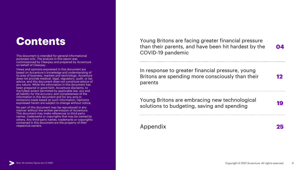# **Contents**

This document is intended for general informational purposes only. The analysis in this report was commissioned by Clearpay and prepared by Accenture on behalf of Clearpay.

Views and opinions expressed in this document are based on Accenture's knowledge and understanding of its area of business, markets and technology. Accenture does not provide medical, legal, regulatory, audit, or tax advice, and this document does not constitute advice of any nature. While the information in this document has been prepared in good faith, Accenture disclaims, to the fullest extent permitted by applicable law, any and all liability for the accuracy and completeness of the information in this document and for any acts or omissions made based on such information. Opinions expressed herein are subject to change without notice.

No part of this document may be reproduced in any manner without the written permission of Accenture. This document may make references to third party names, trademarks or copyrights that may be owned by others. Any third-party names, trademarks or copyrights contained in this document are the property of their respective owners.

Young Britons are facing greater financial pressure than their parents, and have been hit hardest by the COVID-19 pandemic **04**

In response to greater financial pressure, young Britons are spending more consciously than their parents **12**

Young Britons are embracing new technological solutions to budgeting, saving and spending **19** 

Appendix **25**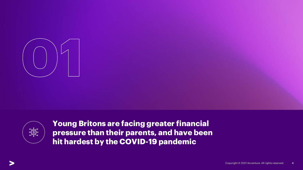



**Young Britons are facing greater financial pressure than their parents, and have been hit hardest by the COVID-19 pandemic**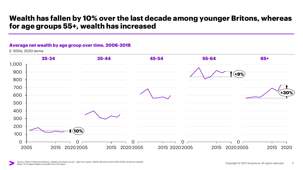### **Wealth has fallen by 10% over the last decade among younger Britons, whereas for age groups 55+, wealth has increased**

#### **Average net wealth by age group over time, 2006-2018**

£ '000s, 2020 terms

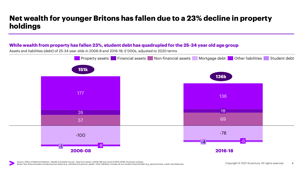## **Net wealth for younger Britons has fallen due to a 23% decline in property holdings**

#### **While wealth from property has fallen 23%, student debt has quadrupled for the 25-34 year old age group**

Assets and liabilities (debt) of 25-34 year olds in 2006-8 and 2016-18; £'000s, adjusted to 2020 terms

![](_page_5_Figure_3.jpeg)

Source: Office of National Statistics, 'Wealth and Assets Survey', data from waves 1 (2006-08) and round 6 (2016-2018); Accenture analysis Notes: Non-financial assets include physical assets (e.g. vehicles) and pension wealth. Other liabilities includes all non-student financial debt (e.g. personal loans, credit card balances)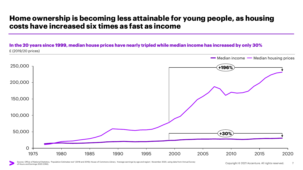### **Home ownership is becoming less attainable for young people, as housing costs have increased six times as fast as income**

**In the 20 years since 1999, median house prices have nearly tripled while median income has increased by only 30%** £ (2019/20 prices)

![](_page_6_Figure_2.jpeg)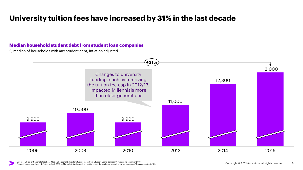# **University tuition fees have increased by 31% in the last decade**

#### **Median household student debt from student loan companies**

£, median of households with any student debt, inflation adjusted

![](_page_7_Figure_3.jpeg)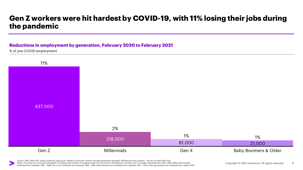### **Gen Z workers were hit hardest by COVID-19, with 11% losing their jobs during the pandemic**

#### **Reductions in employment by generation, February 2020 to February 2021**

% of pre-COVID employment

![](_page_8_Figure_3.jpeg)

Source: ONS Table A05: Labour market by age group: People by economic activity and age (seasonally adjusted), HM Revenue and Customs – Pay As You Earn Real Time Notes: This does not count jobs furloughed, including those workers furloughed under the Coronavirus Job Retention Scheme. Gen Z includes individuals born after 1996. Millennials includes individuals born between 1981 – 1996, Gen X are individuals born between 1965 - 1980, Baby Boomers are individuals born between 1951 – 1964, Older generations are individuals born before 1951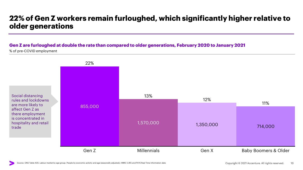### **22% of Gen Z workers remain furloughed, which significantly higher relative to older generations**

#### **Gen Z are furloughed at double the rate than compared to older generations, February 2020 to January 2021**

% of pre-COVID employment

![](_page_9_Figure_3.jpeg)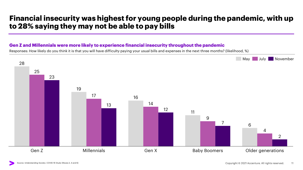## **Financial insecurity was highest for young people during the pandemic, with up to 28% saying they may not be able to pay bills**

#### **Gen Z and Millennials were more likely to experience financial insecurity throughout the pandemic**

Responses: How likely do you think it is that you will have difficulty paying your usual bills and expenses in the next three months? (likelihood, %)

![](_page_10_Figure_3.jpeg)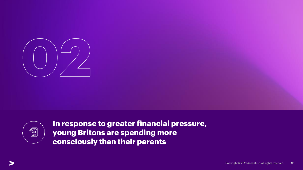![](_page_11_Picture_0.jpeg)

![](_page_11_Picture_1.jpeg)

**In response to greater financial pressure, young Britons are spending more consciously than their parents**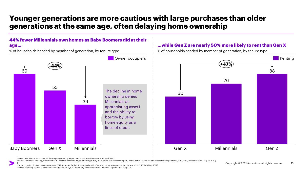### **Younger generations are more cautious with large purchases than older generations at the same age, often delaying home ownership**

#### **44% fewer Millennials own homes as Baby Boomers did at their age…**

![](_page_12_Figure_2.jpeg)

% of households headed by member of generation, by tenure type

Notes: 1. OECD data shows that UK house prices rose by 93 per cent in real terms between 2000 and 2020.

Source: Ministry of Housing, Communities & Local Government, 'English housing survey 2008 to 2009: household report', Annex Table 1.4: Tenure of households by age of HRP, 1981, 1991, 2001 and 2008-09' (Oct 2010)

& 'English Housing Survey: Home ownership, 2017-18' Annex Table 3.1: Average length of time in current accommodation, by age of HRP, 2017-18 (July 2019) Notes: Ownership statistics taken at median generation age of 25; renting taken when oldest member of generation is aged 21.

#### **…while Gen Z are nearly 50% more likely to rent than Gen X**

% of households headed by member of generation, by tenure type

**Renting**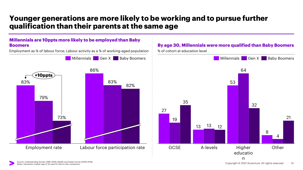### **Younger generations are more likely to be working and to pursue further qualification than their parents at the same age**

#### **Millennials are 10ppts more likely to be employed than Baby Boomers**

Employment as % of labour force; Labour activity as a % of working-aged population

![](_page_13_Figure_3.jpeg)

### **By age 30, Millennials were more qualified than Baby Boomers**

![](_page_13_Figure_5.jpeg)

% of cohort at education level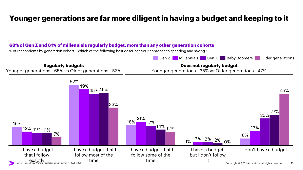# **Younger generations are far more diligent in having a budget and keeping to it**

#### **68% of Gen Z and 61% of millennials regularly budget, more than any other generation cohorts**

% of respondents by generation cohort: 'Which of the following best describes your approach to spending and saving?'

![](_page_14_Figure_3.jpeg)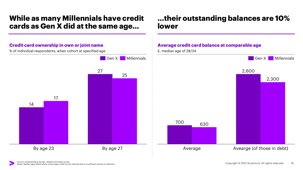### **While as many Millennials have credit cards as Gen X did at the same age…**

### **Credit card ownership in own or joint name** % of individual respondents, when cohort at specified age

![](_page_15_Figure_2.jpeg)

# **…their outstanding balances are 10% lower**

### **Average credit card balance at comparable age**

![](_page_15_Figure_5.jpeg)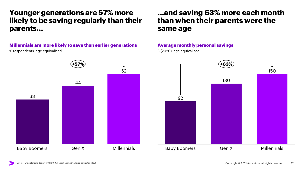### **Younger generations are 57% more likely to be saving regularly than their parents…**

#### **Millennials are more likely to save than earlier generations**

% respondents, age equivalised

![](_page_16_Figure_3.jpeg)

### **…and saving 63% more each month than when their parents were the same age**

#### **Average monthly personal savings**

£ (2020), age equivalised

![](_page_16_Figure_7.jpeg)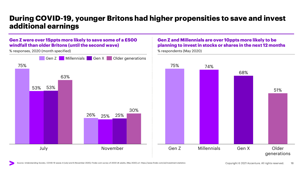### **During COVID-19, younger Britons had higher propensities to save and invest additional earnings**

#### **Gen Z were over 15ppts more likely to save some of a £500 windfall than older Britons (until the second wave)**

% responses, 2020 (month specified)

![](_page_17_Figure_3.jpeg)

#### **Gen Z and Millennials are over 10ppts more likely to be planning to invest in stocks or shares in the next 12 months**

![](_page_17_Figure_5.jpeg)

% respondents (May 2020)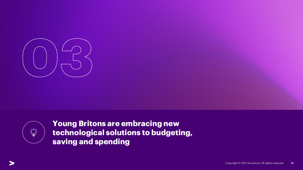![](_page_18_Picture_0.jpeg)

![](_page_18_Picture_1.jpeg)

**Young Britons are embracing new technological solutions to budgeting, saving and spending**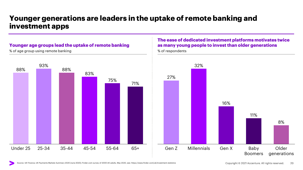### **Younger generations are leaders in the uptake of remote banking and investment apps**

#### **Younger age groups lead the uptake of remote banking**

% of age group using remote banking

![](_page_19_Figure_3.jpeg)

### **The ease of dedicated investment platforms motivates twice as many young people to invest than older generations**

![](_page_19_Figure_5.jpeg)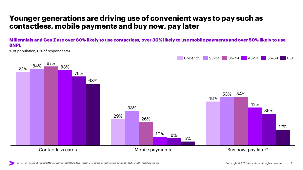## **Younger generations are driving use of convenient ways to pay such as contactless, mobile payments and buy now, pay later**

#### **Millennials and Gen Z are over 80% likely to use contactless, over 30% likely to use mobile payments and over 50% likely to use BNPL**

% of population, (\*% of respondents)

![](_page_20_Figure_3.jpeg)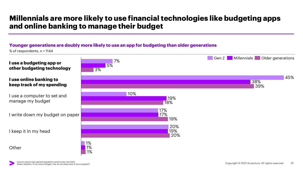## **Millennials are more likely to use financial technologies like budgeting apps and online banking to manage their budget**

#### **Younger generations are doubly more likely to use an app for budgeting than older generations**

% of respondents, n = 1144

![](_page_21_Figure_3.jpeg)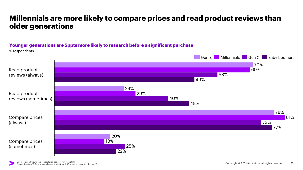## **Millennials are more likely to compare prices and read product reviews than older generations**

#### **Younger generations are 5ppts more likely to research before a significant purchase**

![](_page_22_Figure_2.jpeg)

Compare prices

% respondents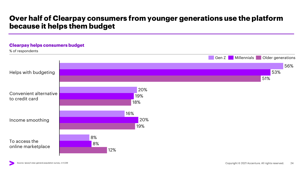### **Over half of Clearpay consumers from younger generations use the platform because it helps them budget**

![](_page_23_Figure_1.jpeg)

#### Source: Ipsos/I-view general population survey, n=1,539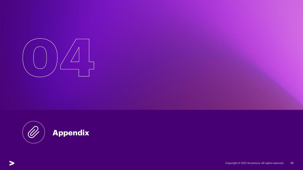![](_page_24_Picture_0.jpeg)

![](_page_24_Picture_1.jpeg)

![](_page_24_Picture_2.jpeg)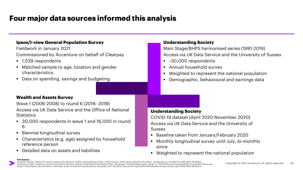# **Four major data sources informed this analysis**

| <b>Ipsos/I-view General Population Survey</b><br>Fieldwork in January 2021<br>Commissioned by Accenture on behalf of Clearpay<br>■ 1,539 respondents<br>• Matched sample to age, location and gender<br>characteristics<br>• Data on spending, savings and budgeting                                                                                                         | <b>Understanding Society</b><br>Main Stage/BHPS harmonised series (1991-2019)<br>Access via UK Data Service and the University of Sussex<br>■ ~30,000 respondents<br>Annual household survey<br>$\blacksquare$<br>Weighted to represent the national population<br>$\blacksquare$<br>Demographic, behavioural and earnings data<br>$\blacksquare$ |
|------------------------------------------------------------------------------------------------------------------------------------------------------------------------------------------------------------------------------------------------------------------------------------------------------------------------------------------------------------------------------|---------------------------------------------------------------------------------------------------------------------------------------------------------------------------------------------------------------------------------------------------------------------------------------------------------------------------------------------------|
| <b>Wealth and Assets Survey</b><br>Wave 1 (2006-2008) to round 6 (2016-2018)<br>Access via UK Data Service and the Office of National<br><b>Statistics</b><br>■ 30,000 respondents in wave 1 and 16,000 in round<br>6<br>• Biennial longitudinal survey<br>• Characteristics (e.g. age) assigned by household<br>reference person<br>Detailed data on assets and liabilities | <b>Understanding Society</b><br>COVID-19 dataset (April 2020-November 2020)<br>Access via UK Data Service and the University of<br>Sussex<br>Baseline taken from January/February 2020<br>Monthly longitudinal survey until July, bi-monthly<br>since<br>Weighted to represent the national population                                            |

#### **Full citations:**

University of Essex, Institute for Social and Economic Research. (2020). Understanding Society: COVID-19 Study, 2020. [data collection]. 6th Edition. UK Data Service. SN: 8644, 10.5255/UKDA-SN-8644-6. University of Essex. Institute for Social and Economic Research, NatCen Social Research and Kantar Public, [producers]: Understanding Society: Waves 1-7, 2009-2016 and harmonised British Household Panel Survey: Waves 1-18 [computer file]. 9th Edition. Colchester, Essex: UK Data Service [distributor], November 2017. SN: 6614, http://dx.doi.org/10.5255/UKDA-SN-6614-8.http://dx.doi.org/10.5255/UKDA-SN-6614-8.http://dx.doi.org/10.525